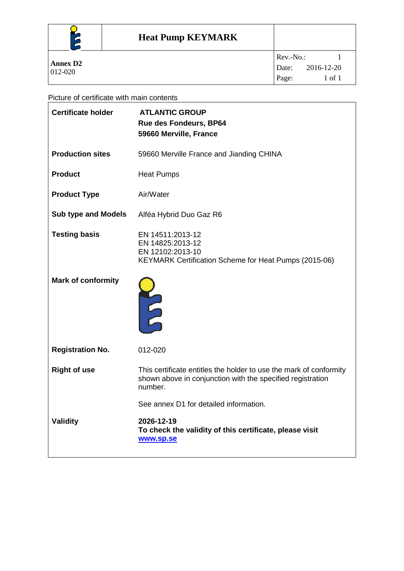

#### Picture of certificate with main contents

| <b>Certificate holder</b>  | <b>ATLANTIC GROUP</b><br><b>Rue des Fondeurs, BP64</b><br>59660 Merville, France                                                            |
|----------------------------|---------------------------------------------------------------------------------------------------------------------------------------------|
| <b>Production sites</b>    | 59660 Merville France and Jianding CHINA                                                                                                    |
| <b>Product</b>             | <b>Heat Pumps</b>                                                                                                                           |
| <b>Product Type</b>        | Air/Water                                                                                                                                   |
| <b>Sub type and Models</b> | Alféa Hybrid Duo Gaz R6                                                                                                                     |
| <b>Testing basis</b>       | EN 14511:2013-12<br>EN 14825:2013-12<br>EN 12102:2013-10<br>KEYMARK Certification Scheme for Heat Pumps (2015-06)                           |
| <b>Mark of conformity</b>  | <b>AULT</b>                                                                                                                                 |
| <b>Registration No.</b>    | 012-020                                                                                                                                     |
| <b>Right of use</b>        | This certificate entitles the holder to use the mark of conformity<br>shown above in conjunction with the specified registration<br>number. |
|                            | See annex D1 for detailed information.                                                                                                      |
| <b>Validity</b>            | 2026-12-19<br>To check the validity of this certificate, please visit<br>www.sp.se                                                          |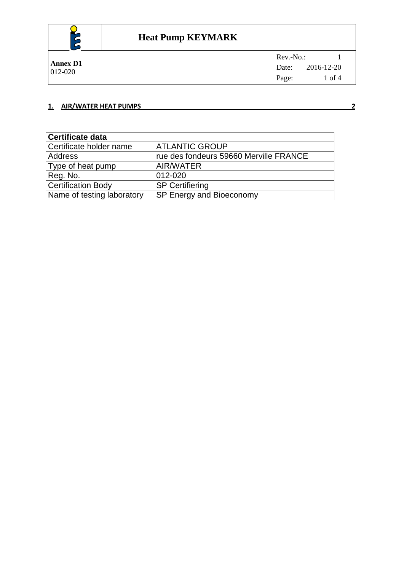

#### **1. AIR/WATER HEAT PUMPS 2**

**Certificate data** Certificate holder name ATLANTIC GROUP<br>Address rue des fondeurs 59 rue des fondeurs 59660 Merville FRANCE Type of heat pump AIR/WATER Reg. No. 2012-020<br>Certification Body SP Certifiering Certification Body<br>Name of testing laboratory SP Energy and Bioeconomy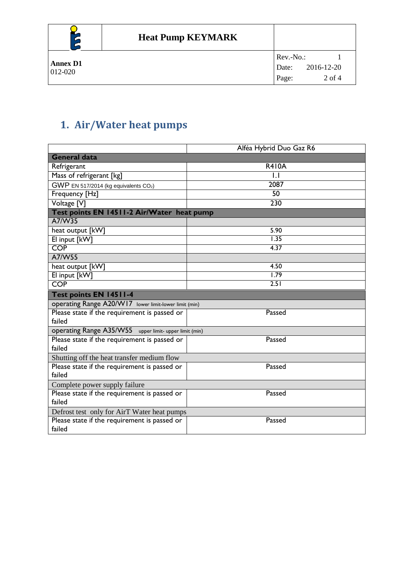

# **1. Air/Water heat pumps**

|                                                        | Alféa Hybrid Duo Gaz R6 |  |  |  |
|--------------------------------------------------------|-------------------------|--|--|--|
| <b>General data</b>                                    |                         |  |  |  |
| Refrigerant                                            | <b>R410A</b>            |  |  |  |
| Mass of refrigerant [kg]                               | $\mathsf{L}$            |  |  |  |
| GWP EN 517/2014 (kg equivalents CO2)                   | 2087                    |  |  |  |
| Frequency [Hz]                                         | $\overline{50}$         |  |  |  |
| Voltage [V]                                            | 230                     |  |  |  |
| Test points EN 14511-2 Air/Water heat pump             |                         |  |  |  |
| A7/W35                                                 |                         |  |  |  |
| heat output [kW]                                       | 5.90                    |  |  |  |
| El input [kW]                                          | 1.35                    |  |  |  |
| <b>COP</b>                                             | 4.37                    |  |  |  |
| A7/W55                                                 |                         |  |  |  |
| heat output [kW]                                       | 4.50                    |  |  |  |
| El input [kW]                                          | 1.79                    |  |  |  |
| <b>COP</b>                                             | 2.51                    |  |  |  |
|                                                        |                         |  |  |  |
| <b>Test points EN 14511-4</b>                          |                         |  |  |  |
| operating Range A20/W17 lower limit-lower limit (min)  |                         |  |  |  |
| Please state if the requirement is passed or           | Passed                  |  |  |  |
| failed                                                 |                         |  |  |  |
| operating Range A35/W55 upper limit- upper limit (min) |                         |  |  |  |
| Please state if the requirement is passed or           | Passed                  |  |  |  |
| failed                                                 |                         |  |  |  |
| Shutting off the heat transfer medium flow             |                         |  |  |  |
| Please state if the requirement is passed or           | Passed                  |  |  |  |
| failed                                                 |                         |  |  |  |
| Complete power supply failure                          |                         |  |  |  |
| Please state if the requirement is passed or           | Passed                  |  |  |  |
| failed                                                 |                         |  |  |  |
| Defrost test only for AirT Water heat pumps            |                         |  |  |  |
| Please state if the requirement is passed or<br>failed | Passed                  |  |  |  |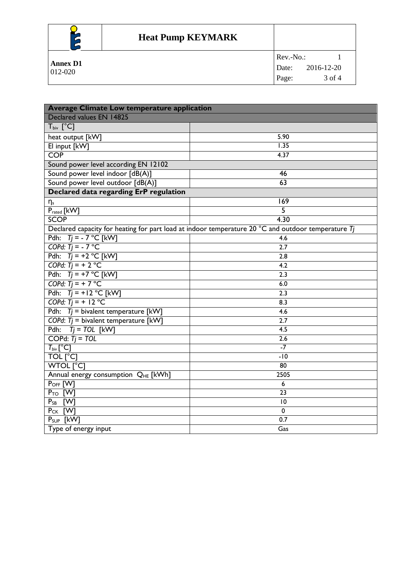

### **Heat Pump KEYMARK**

| ∽<br>∽          | THE TUILD NE I MANN |            |            |
|-----------------|---------------------|------------|------------|
| <b>Annex D1</b> |                     | $Rev.-No.$ |            |
| 012-020         |                     | Date:      | 2016-12-20 |
|                 |                     | Page:      | 3 of 4     |

| <b>Average Climate Low temperature application</b> |                                                                                                                |  |  |
|----------------------------------------------------|----------------------------------------------------------------------------------------------------------------|--|--|
| Declared values EN 14825                           |                                                                                                                |  |  |
| $T_{\text{biv}}$ [°C]                              |                                                                                                                |  |  |
| heat output [kW]                                   | 5.90                                                                                                           |  |  |
| El input [kW]                                      | $\overline{1.35}$                                                                                              |  |  |
| <b>COP</b>                                         | 4.37                                                                                                           |  |  |
| Sound power level according EN 12102               |                                                                                                                |  |  |
| Sound power level indoor [dB(A)]                   | 46                                                                                                             |  |  |
| Sound power level outdoor [dB(A)]                  | 63                                                                                                             |  |  |
| Declared data regarding ErP regulation             |                                                                                                                |  |  |
| $\eta_s$                                           | 169                                                                                                            |  |  |
| Prated [kW]                                        | 5                                                                                                              |  |  |
| <b>SCOP</b>                                        | 4.30                                                                                                           |  |  |
|                                                    | Declared capacity for heating for part load at indoor temperature 20 $^{\circ}$ C and outdoor temperature $Tj$ |  |  |
| Pdh: $Ti = -7 °C$ [kW]                             | 4.6                                                                                                            |  |  |
| COPd: $Ti = -7$ °C                                 | 2.7                                                                                                            |  |  |
| Pdh: $Tj = +2$ °C [kW]                             | 2.8                                                                                                            |  |  |
| COPd: $Ti = + 2 °C$                                | 4.2                                                                                                            |  |  |
| Pdh: $Ti = +7$ °C [kW]                             | 2.3                                                                                                            |  |  |
| COPd: $Ti = +7$ °C                                 | 6.0                                                                                                            |  |  |
| Pdh: $Tj = +12$ °C [kW]                            | 2.3                                                                                                            |  |  |
| COPd: $Ti = + 12 °C$                               | 8.3                                                                                                            |  |  |
| Pdh: $Tj$ = bivalent temperature [kW]              | 4.6                                                                                                            |  |  |
| COPd: $T_j$ = bivalent temperature [kW]            | 2.7                                                                                                            |  |  |
| $Ti = TOL$ [kW]<br>Pdh:                            | $\overline{4.5}$                                                                                               |  |  |
| COPd: $Ti = TOL$                                   | $\overline{2.6}$                                                                                               |  |  |
| $T_{\text{biv}}[^{\circ}C]$                        | $-7$                                                                                                           |  |  |
| TOL [°C]                                           | $-10$                                                                                                          |  |  |
| <b>WTOL [°C]</b>                                   | $\overline{80}$                                                                                                |  |  |
| Annual energy consumption QHE [kWh]                | 2505                                                                                                           |  |  |
| P <sub>OFF</sub> [W]                               | $\boldsymbol{6}$                                                                                               |  |  |
| $P_{TO}$ [W]                                       | 23                                                                                                             |  |  |
| $P_{SB}$<br>[W]                                    | 10                                                                                                             |  |  |
| P <sub>CK</sub> [W]                                | $\mathbf 0$                                                                                                    |  |  |
| $P_{SUP}$ [kW]                                     | 0.7                                                                                                            |  |  |
| Type of energy input                               | Gas                                                                                                            |  |  |